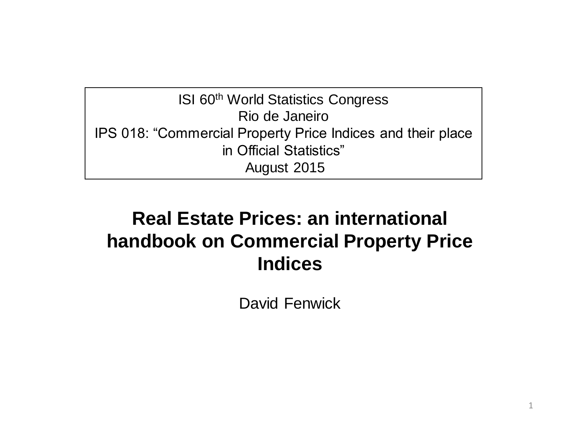**ISI 60th World Statistics Congress** Rio de Janeiro IPS 018: "Commercial Property Price Indices and their place in Official Statistics" August 2015

#### **Real Estate Prices: an international handbook on Commercial Property Price Indices**

David Fenwick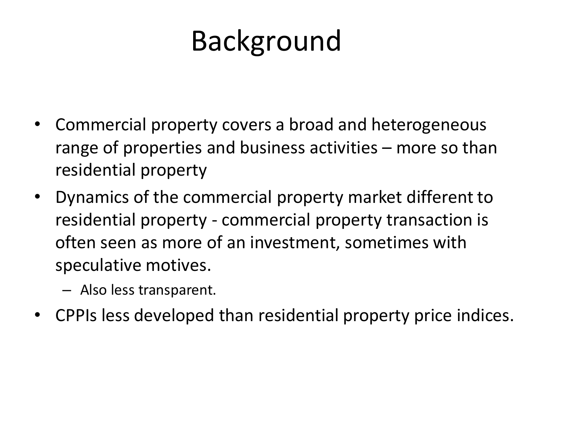# Background

- Commercial property covers a broad and heterogeneous range of properties and business activities – more so than residential property
- Dynamics of the commercial property market different to residential property - commercial property transaction is often seen as more of an investment, sometimes with speculative motives.
	- Also less transparent.
- CPPIs less developed than residential property price indices.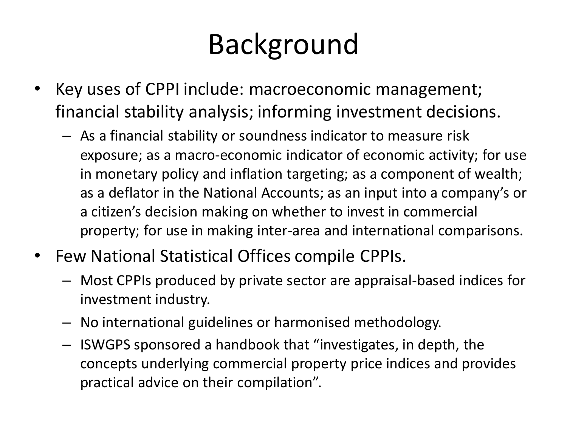# Background

- Key uses of CPPI include: macroeconomic management; financial stability analysis; informing investment decisions.
	- As a financial stability or soundness indicator to measure risk exposure; as a macro-economic indicator of economic activity; for use in monetary policy and inflation targeting; as a component of wealth; as a deflator in the National Accounts; as an input into a company's or a citizen's decision making on whether to invest in commercial property; for use in making inter-area and international comparisons.
- Few National Statistical Offices compile CPPIs.
	- Most CPPIs produced by private sector are appraisal-based indices for investment industry.
	- No international guidelines or harmonised methodology.
	- ISWGPS sponsored a handbook that "investigates, in depth, the concepts underlying commercial property price indices and provides practical advice on their compilation".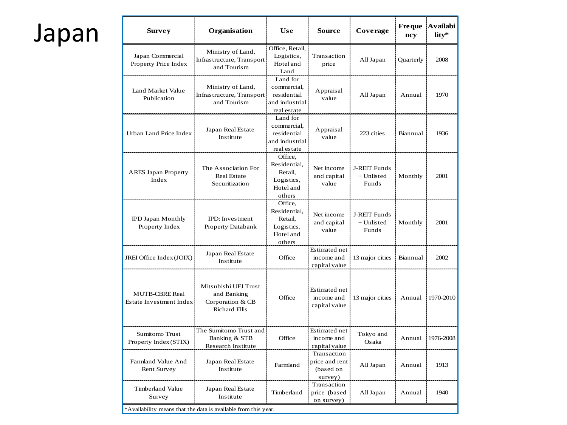## Japan

| <b>Survey</b>                                           | <b>Organisation</b>                                                                              | <b>Use</b>                                                              | <b>Source</b>                                         | Coverage                                     | <b>Freque</b><br>ncy | <b>Availabi</b><br>lity* |
|---------------------------------------------------------|--------------------------------------------------------------------------------------------------|-------------------------------------------------------------------------|-------------------------------------------------------|----------------------------------------------|----------------------|--------------------------|
| Japan Commercial<br>Property Price Index                | Ministry of Land,<br>Infrastructure, Transport<br>and Tourism                                    | Office, Retail,<br>Logistics,<br>Hotel and<br>Land                      | Transaction<br>price                                  | All Japan                                    | Quarterly            | 2008                     |
| Land Market Value<br>Publication                        | Ministry of Land,<br>Infrastructure, Transport<br>and Tourism                                    | Land for<br>commercial,<br>residential<br>and industrial<br>real estate | Appraisal<br>value                                    | All Japan                                    | Annual               | 1970                     |
| Urban Land Price Index                                  | Japan Real Estate<br>Institute                                                                   | Land for<br>commercial,<br>residential<br>and industrial<br>real estate | Appraisal<br>value                                    | 223 cities                                   | Biannual             | 1936                     |
| <b>ARES</b> Japan Property<br>Index                     | The Association For<br><b>Real Estate</b><br>Securitization                                      | Office,<br>Residential,<br>Retail,<br>Logistics,<br>Hotel and<br>others | Net income<br>and capital<br>value                    | J-REIT Funds<br>$+$ Unlisted<br>Funds        | Monthly              | 2001                     |
| <b>IPD Japan Monthly</b><br>Property Index              | IPD: Investment<br>Property Databank                                                             | Office,<br>Residential,<br>Retail,<br>Logistics,<br>Hotel and<br>others | Net income<br>and capital<br>value                    | <b>J-REIT Funds</b><br>$+$ Unlisted<br>Funds | Monthly              | 2001                     |
| JREI Office Index (JOIX)                                | Japan Real Estate<br>Institute                                                                   | Office                                                                  | Estimated net<br>income and<br>capital value          | 13 major cities                              | Biannual             | 2002                     |
| <b>MUTB-CBRE Real</b><br><b>Estate Investment Index</b> | Mitsubishi UFJ Trust<br>and Banking<br>Corporation & CB<br><b>Richard Ellis</b>                  | Office                                                                  | Estimated net<br>income and<br>capital value          | 13 major cities                              | Annual               | 1970-2010                |
| Sumitomo Trust<br>Property Index (STIX)                 | The Sumitomo Trust and<br>Banking & STB<br>Research Institute                                    | Office                                                                  | Estimated net<br>income and<br>capital value          | Tokyo and<br>Osaka                           | Annual               | 1976-2008                |
| Farmland Value And<br>Rent Survey                       | Japan Real Estate<br>Institute                                                                   | Farmland                                                                | Transaction<br>price and rent<br>(based on<br>survey) | All Japan                                    | Annual               | 1913                     |
| Timberland Value<br>Survey                              | Japan Real Estate<br>Institute<br>*Availability means that the data is available from this year. | Timberland                                                              | Transaction<br>price (based<br>on survey)             | All Japan                                    | Annual               | 1940                     |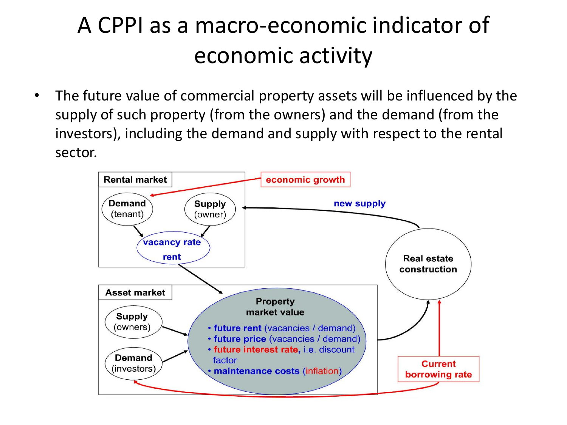## A CPPI as a macro-economic indicator of economic activity

• The future value of commercial property assets will be influenced by the supply of such property (from the owners) and the demand (from the investors), including the demand and supply with respect to the rental sector.

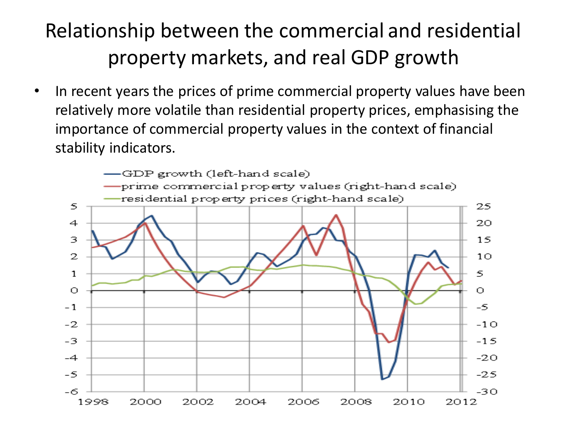#### Relationship between the commercial and residential property markets, and real GDP growth

In recent years the prices of prime commercial property values have been relatively more volatile than residential property prices, emphasising the importance of commercial property values in the context of financial stability indicators.

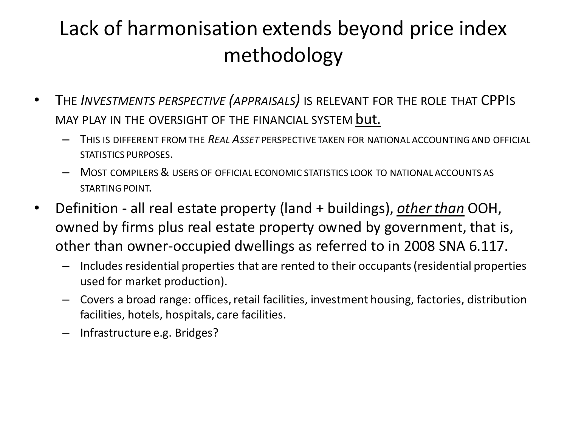#### Lack of harmonisation extends beyond price index methodology

- THE *INVESTMENTS PERSPECTIVE (APPRAISALS)* IS RELEVANT FOR THE ROLE THAT CPPIS MAY PLAY IN THE OVERSIGHT OF THE FINANCIAL SYSTEM but.
	- THIS IS DIFFERENT FROM THE *REAL ASSET* PERSPECTIVE TAKEN FOR NATIONAL ACCOUNTINGAND OFFICIAL STATISTICS PURPOSES.
	- MOST COMPILERS& USERS OF OFFICIAL ECONOMIC STATISTICS LOOK TO NATIONAL ACCOUNTS AS STARTING POINT.
- Definition all real estate property (land + buildings), *other than* OOH, owned by firms plus real estate property owned by government, that is, other than owner-occupied dwellings as referred to in 2008 SNA 6.117.
	- Includes residential properties that are rented to their occupants (residential properties used for market production).
	- Covers a broad range: offices, retail facilities, investment housing, factories, distribution facilities, hotels, hospitals, care facilities.
	- Infrastructure e.g. Bridges?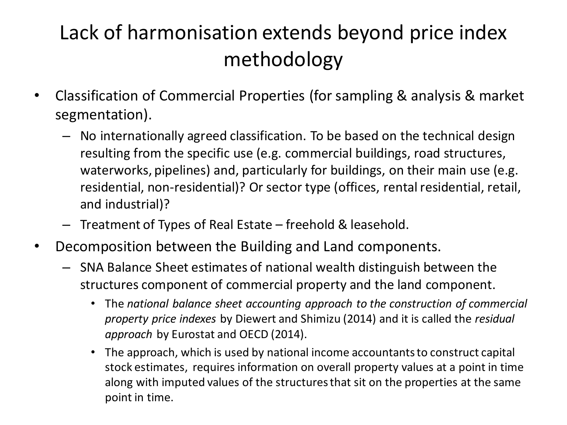#### Lack of harmonisation extends beyond price index methodology

- Classification of Commercial Properties (for sampling & analysis & market segmentation).
	- No internationally agreed classification. To be based on the technical design resulting from the specific use (e.g. commercial buildings, road structures, waterworks, pipelines) and, particularly for buildings, on their main use (e.g. residential, non-residential)? Or sector type (offices, rental residential, retail, and industrial)?
	- Treatment of Types of Real Estate freehold & leasehold.
- Decomposition between the Building and Land components.
	- SNA Balance Sheet estimates of national wealth distinguish between the structures component of commercial property and the land component.
		- The *national balance sheet accounting approach to the construction of commercial property price indexes* by Diewert and Shimizu (2014) and it is called the *residual approach* by Eurostat and OECD (2014).
		- The approach, which is used by national income accountants to construct capital stock estimates, requires information on overall property values at a point in time along with imputed values of the structures that sit on the properties at the same point in time.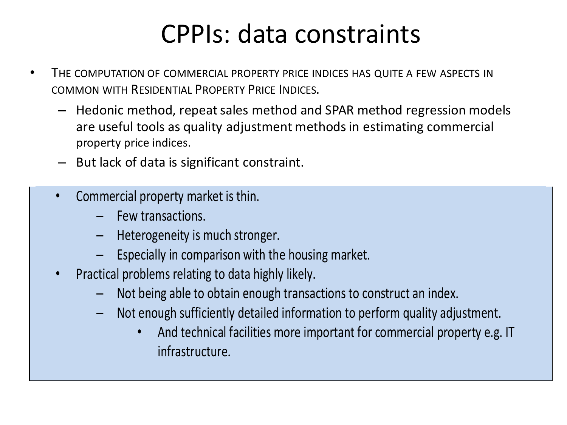## CPPIs: data constraints

- THE COMPUTATION OF COMMERCIAL PROPERTY PRICE INDICES HAS QUITE A FEW ASPECTS IN COMMON WITH RESIDENTIAL PROPERTY PRICE INDICES.
	- Hedonic method, repeat sales method and SPAR method regression models are useful tools as quality adjustment methods in estimating commercial property price indices.
	- But lack of data is significant constraint.
	- Commercial property market is thin.
		- Few transactions.
		- Heterogeneity is much stronger.
		- Especially in comparison with the housing market.
	- Practical problems relating to data highly likely.
		- Not being able to obtain enough transactions to construct an index.
		- Not enough sufficiently detailed information to perform quality adjustment.
			- And technical facilities more important for commercial property e.g. IT infrastructure.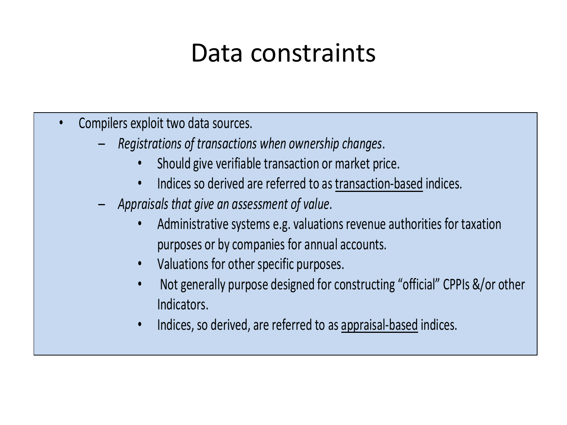## Data constraints

- Compilers exploit two data sources.
	- *Registrations of transactions when ownership changes*.
		- Should give verifiable transaction or market price.
		- Indices so derived are referred to as transaction-based indices.
	- *Appraisals that give an assessment of value*.
		- Administrative systems e.g. valuations revenue authorities for taxation purposes or by companies for annual accounts.
		- Valuations for other specific purposes.
		- Not generally purpose designed for constructing "official" CPPIs &/or other Indicators.
		- Indices, so derived, are referred to as appraisal-based indices.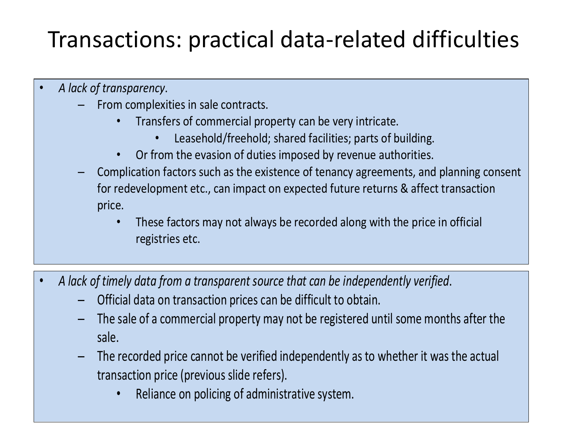## Transactions: practical data-related difficulties

- *A lack of transparency*.
	- From complexities in sale contracts.
		- Transfers of commercial property can be very intricate.
			- Leasehold/freehold; shared facilities; parts of building.
		- Or from the evasion of duties imposed by revenue authorities.
	- Complication factors such as the existence of tenancy agreements, and planning consent for redevelopment etc., can impact on expected future returns & affect transaction price.
		- These factors may not always be recorded along with the price in official registries etc.
- *A lack of timely data from a transparent source that can be independently verified*.
	- Official data on transaction prices can be difficult to obtain.
	- The sale of a commercial property may not be registered until some months after the sale.
	- The recorded price cannot be verified independently as to whether it was the actual transaction price (previous slide refers).
		- Reliance on policing of administrative system.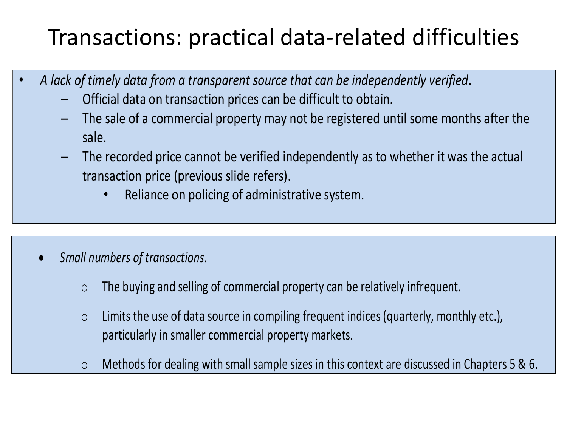### Transactions: practical data-related difficulties

- *A lack of timely data from a transparent source that can be independently verified*.
	- Official data on transaction prices can be difficult to obtain.
	- The sale of a commercial property may not be registered until some months after the sale.
	- The recorded price cannot be verified independently as to whether it was the actual transaction price (previous slide refers).
		- Reliance on policing of administrative system.

- *Small numbers of transactions*.
	- o The buying and selling of commercial property can be relatively infrequent.
	- o Limits the use of data source in compiling frequent indices (quarterly, monthly etc.), particularly in smaller commercial property markets.
	- o Methods for dealing with small sample sizes in this context are discussed in Chapters 5 & 6.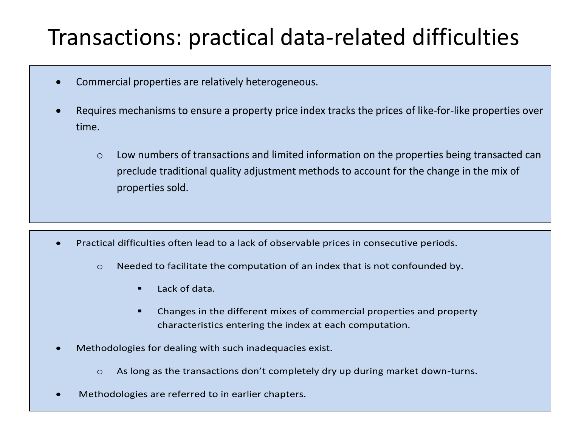#### Transactions: practical data-related difficulties

- Commercial properties are relatively heterogeneous.
- Requires mechanisms to ensure a property price index tracks the prices of like-for-like properties over time.
	- o Low numbers of transactions and limited information on the properties being transacted can preclude traditional quality adjustment methods to account for the change in the mix of properties sold.

- Practical difficulties often lead to a lack of observable prices in consecutive periods.
	- $\circ$  Needed to facilitate the computation of an index that is not confounded by.
		- $\blacksquare$  Lack of data.
		- Changes in the different mixes of commercial properties and property characteristics entering the index at each computation.
- Methodologies for dealing with such inadequacies exist.
	- $\circ$  As long as the transactions don't completely dry up during market down-turns.
- Methodologies are referred to in earlier chapters.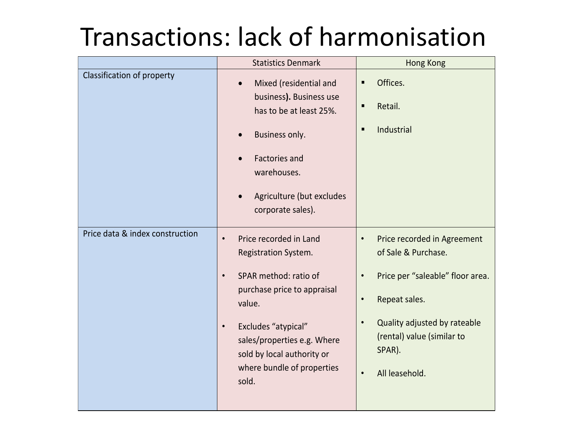## Transactions: lack of harmonisation

|                                 | <b>Statistics Denmark</b>                                                                                                                                                                                                                                                          | <b>Hong Kong</b>                                                                                                                                                                                                                                      |
|---------------------------------|------------------------------------------------------------------------------------------------------------------------------------------------------------------------------------------------------------------------------------------------------------------------------------|-------------------------------------------------------------------------------------------------------------------------------------------------------------------------------------------------------------------------------------------------------|
| Classification of property      | Mixed (residential and<br>$\bullet$<br>business). Business use<br>has to be at least 25%.<br>Business only.<br><b>Factories and</b><br>warehouses.<br>Agriculture (but excludes<br>corporate sales).                                                                               | Offices.<br>Retail.<br>п<br>Industrial<br>п                                                                                                                                                                                                           |
| Price data & index construction | Price recorded in Land<br>$\bullet$<br>Registration System.<br>SPAR method: ratio of<br>$\bullet$<br>purchase price to appraisal<br>value.<br>Excludes "atypical"<br>$\bullet$<br>sales/properties e.g. Where<br>sold by local authority or<br>where bundle of properties<br>sold. | Price recorded in Agreement<br>$\bullet$<br>of Sale & Purchase.<br>Price per "saleable" floor area.<br>$\bullet$<br>Repeat sales.<br>$\bullet$<br>Quality adjusted by rateable<br>(rental) value (similar to<br>SPAR).<br>All leasehold.<br>$\bullet$ |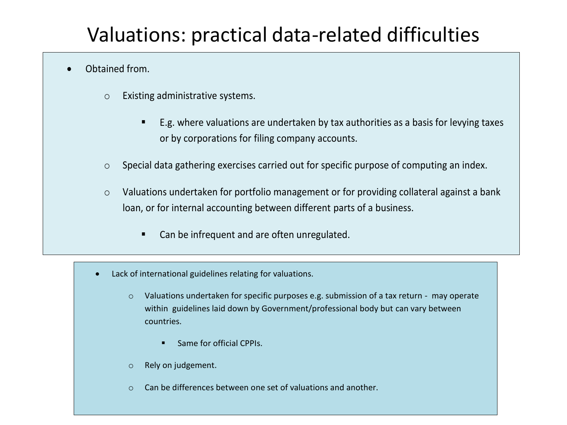#### Valuations: practical data-related difficulties

#### Obtained from.

- o Existing administrative systems.
	- E.g. where valuations are undertaken by tax authorities as a basis for levying taxes or by corporations for filing company accounts.
- o Special data gathering exercises carried out for specific purpose of computing an index.
- o Valuations undertaken for portfolio management or for providing collateral against a bank loan, or for internal accounting between different parts of a business.
	- Can be infrequent and are often unregulated.
- Lack of international guidelines relating for valuations.
	- o Valuations undertaken for specific purposes e.g. submission of a tax return may operate within guidelines laid down by Government/professional body but can vary between countries.
		- **Same for official CPPIs.**
	- o Rely on judgement.
	- o Can be differences between one set of valuations and another.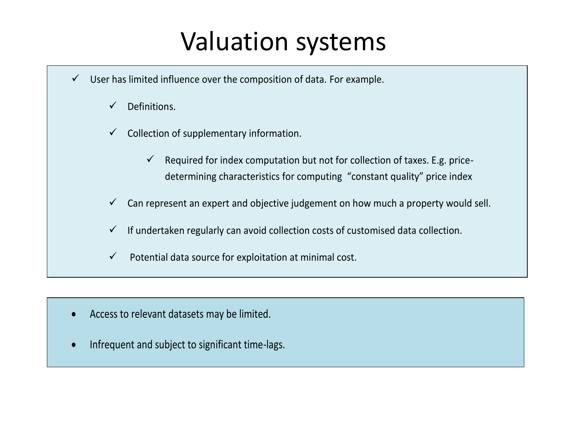## Valuation systems

- $\checkmark$  User has limited influence over the composition of data. For example.
	- $\checkmark$  Definitions.
	- $\checkmark$  Collection of supplementary information.
		- $\checkmark$  Required for index computation but not for collection of taxes. E.g. pricedetermining characteristics for computing "constant quality" price index
	- Can represent an expert and objective judgement on how much a property would sell.
	- If undertaken regularly can avoid collection costs of customised data collection.
	- $\checkmark$  Potential data source for exploitation at minimal cost.

- Access to relevant datasets may be limited.
- Infrequent and subject to significant time-lags.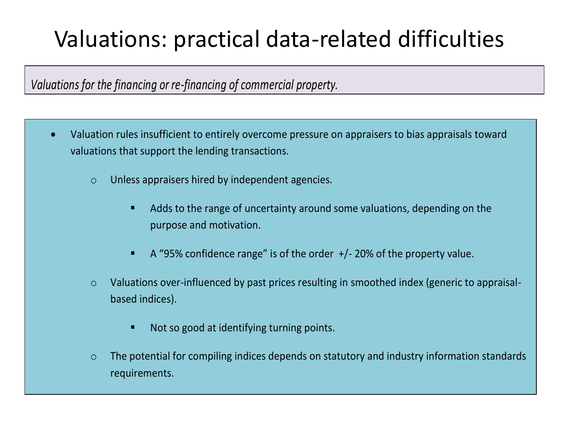## Valuations: practical data-related difficulties

#### *Valuations for the financing or re-financing of commercial property.*

- Valuation rules insufficient to entirely overcome pressure on appraisers to bias appraisals toward valuations that support the lending transactions.
	- o Unless appraisers hired by independent agencies.
		- Adds to the range of uncertainty around some valuations, depending on the purpose and motivation.
		- $\blacksquare$  A "95% confidence range" is of the order  $+/-$  20% of the property value.
	- o Valuations over-influenced by past prices resulting in smoothed index (generic to appraisalbased indices).
		- Not so good at identifying turning points.
	- o The potential for compiling indices depends on statutory and industry information standards requirements.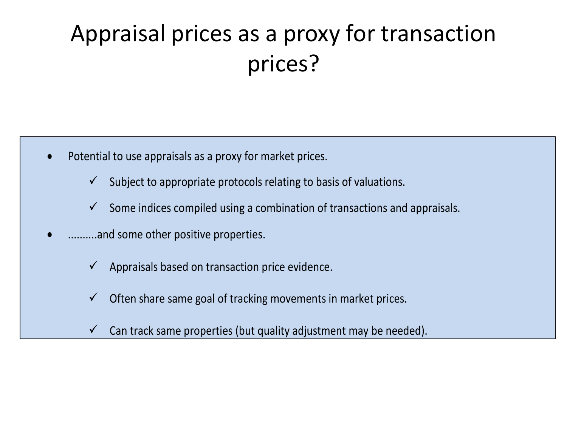## Appraisal prices as a proxy for transaction prices?

- Potential to use appraisals as a proxy for market prices.
	- $\checkmark$  Subject to appropriate protocols relating to basis of valuations.
	- $\checkmark$  Some indices compiled using a combination of transactions and appraisals.
- ..........and some other positive properties.
	- $\checkmark$  Appraisals based on transaction price evidence.
	- Often share same goal of tracking movements in market prices.
	- $\checkmark$  Can track same properties (but quality adjustment may be needed).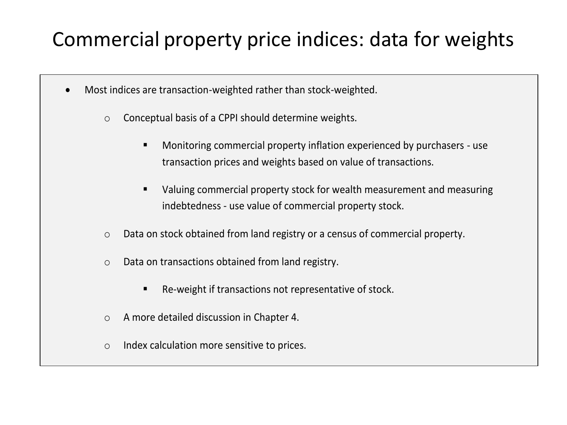#### Commercial property price indices: data for weights

- Most indices are transaction-weighted rather than stock-weighted.
	- o Conceptual basis of a CPPI should determine weights.
		- Monitoring commercial property inflation experienced by purchasers use transaction prices and weights based on value of transactions.
		- Valuing commercial property stock for wealth measurement and measuring indebtedness - use value of commercial property stock.
	- o Data on stock obtained from land registry or a census of commercial property.
	- o Data on transactions obtained from land registry.
		- Re-weight if transactions not representative of stock.
	- o A more detailed discussion in Chapter 4.
	- o Index calculation more sensitive to prices.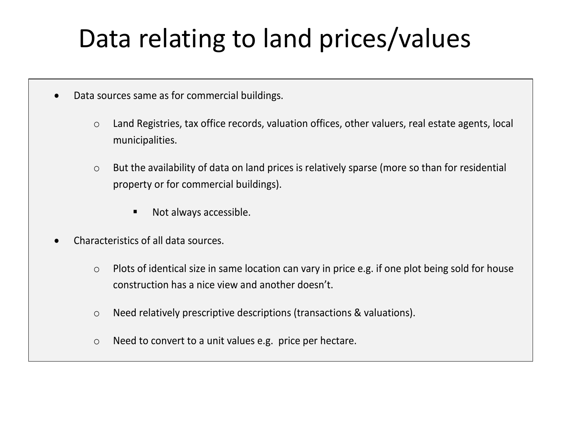# Data relating to land prices/values

- Data sources same as for commercial buildings.
	- o Land Registries, tax office records, valuation offices, other valuers, real estate agents, local municipalities.
	- o But the availability of data on land prices is relatively sparse (more so than for residential property or for commercial buildings).
		- Not always accessible.
- Characteristics of all data sources.
	- o Plots of identical size in same location can vary in price e.g. if one plot being sold for house construction has a nice view and another doesn't.
	- o Need relatively prescriptive descriptions (transactions & valuations).
	- o Need to convert to a unit values e.g. price per hectare.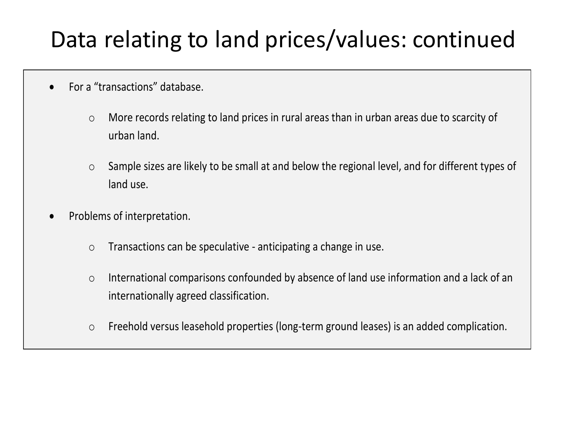### Data relating to land prices/values: continued

- For a "transactions" database.
	- o More records relating to land prices in rural areas than in urban areas due to scarcity of urban land.
	- o Sample sizes are likely to be small at and below the regional level, and for different types of land use.
- Problems of interpretation.
	- o Transactions can be speculative anticipating a change in use.
	- o International comparisons confounded by absence of land use information and a lack of an internationally agreed classification.
	- o Freehold versus leasehold properties (long-term ground leases) is an added complication.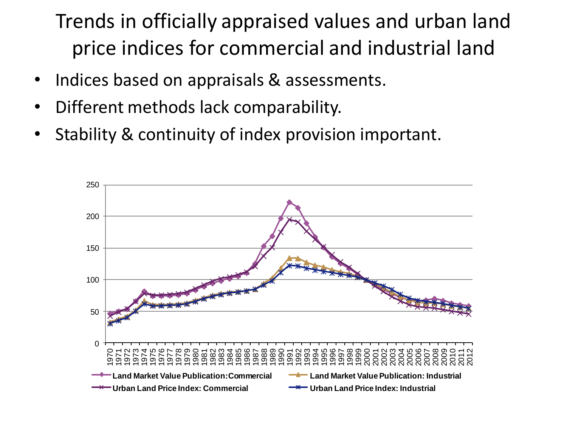#### Trends in officially appraised values and urban land price indices for commercial and industrial land

- Indices based on appraisals & assessments.
- Different methods lack comparability.
- Stability & continuity of index provision important.

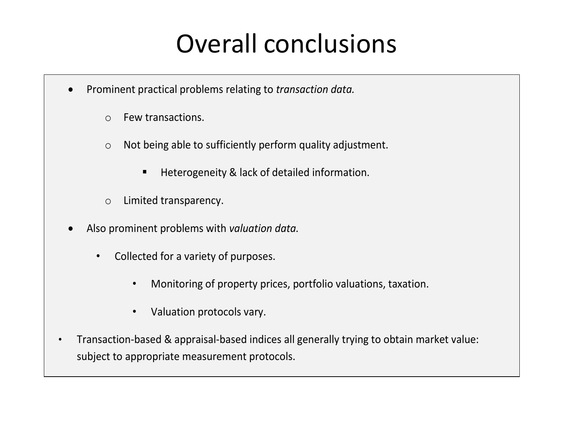## Overall conclusions

- Prominent practical problems relating to *transaction data.*
	- o Few transactions.
	- o Not being able to sufficiently perform quality adjustment.
		- Heterogeneity & lack of detailed information.
	- o Limited transparency.
- Also prominent problems with *valuation data.*
	- Collected for a variety of purposes.
		- Monitoring of property prices, portfolio valuations, taxation.
		- Valuation protocols vary.
- Transaction-based & appraisal-based indices all generally trying to obtain market value: subject to appropriate measurement protocols.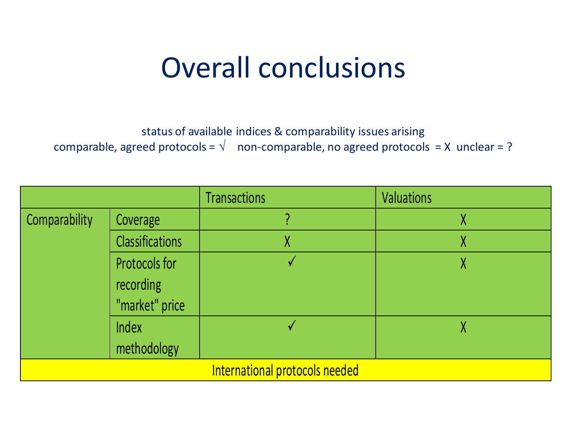# Overall conclusions

status of available indices & comparability issues arising comparable, agreed protocols =  $\sqrt{ }$  non-comparable, no agreed protocols = X unclear = ?

|                                |                        | <b>Transactions</b> | <b>Valuations</b> |  |
|--------------------------------|------------------------|---------------------|-------------------|--|
| Comparability                  | Coverage               |                     | χ                 |  |
|                                | <b>Classifications</b> |                     | χ                 |  |
|                                | Protocols for          |                     |                   |  |
|                                | recording              |                     |                   |  |
|                                | "market" price         |                     |                   |  |
|                                | Index                  |                     | Λ                 |  |
|                                | methodology            |                     |                   |  |
| International protocols needed |                        |                     |                   |  |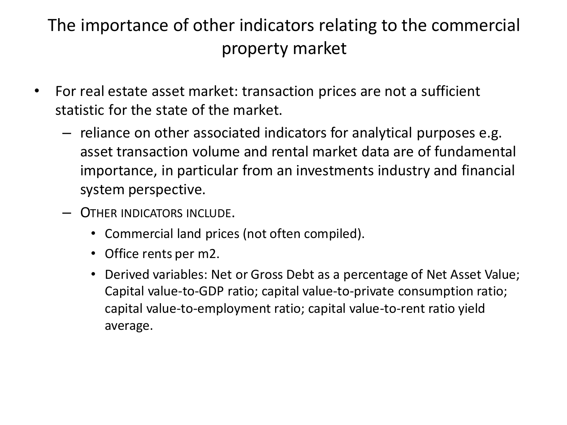#### The importance of other indicators relating to the commercial property market

- For real estate asset market: transaction prices are not a sufficient statistic for the state of the market.
	- reliance on other associated indicators for analytical purposes e.g. asset transaction volume and rental market data are of fundamental importance, in particular from an investments industry and financial system perspective.
	- OTHER INDICATORS INCLUDE.
		- Commercial land prices (not often compiled).
		- Office rents per m2.
		- Derived variables: Net or Gross Debt as a percentage of Net Asset Value; Capital value-to-GDP ratio; capital value-to-private consumption ratio; capital value-to-employment ratio; capital value-to-rent ratio yield average.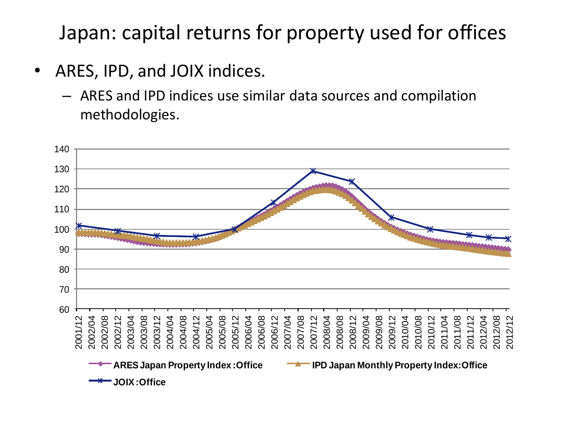Japan: capital returns for property used for offices

- ARES, IPD, and JOIX indices.
	- ARES and IPD indices use similar data sources and compilation methodologies.

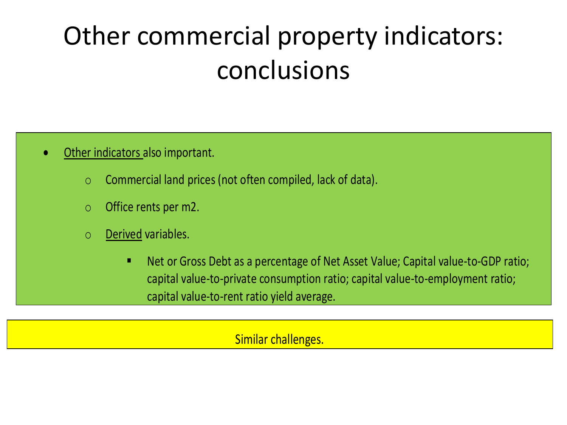# Other commercial property indicators: conclusions

- Other indicators also important.
	- o Commercial land prices (not often compiled, lack of data).
	- o Office rents per m2.
	- o Derived variables.
		- Net or Gross Debt as a percentage of Net Asset Value; Capital value-to-GDP ratio; capital value-to-private consumption ratio; capital value-to-employment ratio; capital value-to-rent ratio yield average.

Similar challenges.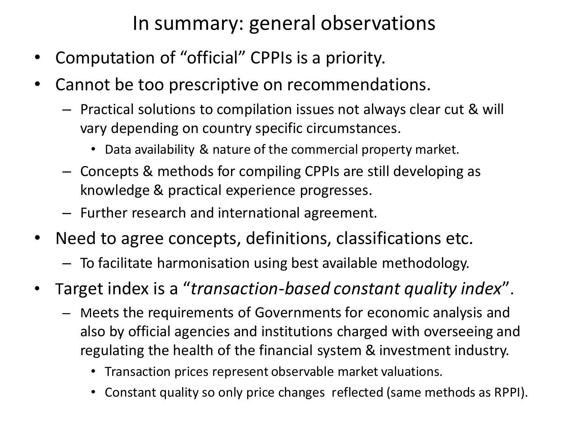#### In summary: general observations

- Computation of "official" CPPIs is a priority.
- Cannot be too prescriptive on recommendations.
	- Practical solutions to compilation issues not always clear cut & will vary depending on country specific circumstances.
		- Data availability & nature of the commercial property market.
	- Concepts & methods for compiling CPPIs are still developing as knowledge & practical experience progresses.
	- Further research and international agreement.
- Need to agree concepts, definitions, classifications etc.
	- To facilitate harmonisation using best available methodology.
- Target index is a "*transaction-based constant quality index*".
	- Meets the requirements of Governments for economic analysis and also by official agencies and institutions charged with overseeing and regulating the health of the financial system & investment industry.
		- Transaction prices represent observable market valuations.
		- Constant quality so only price changes reflected (same methods as RPPI).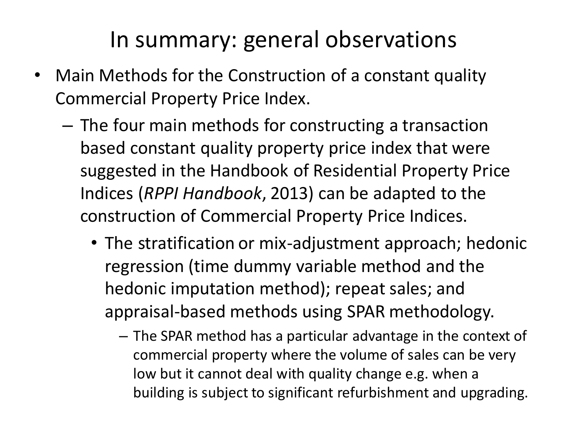#### In summary: general observations

- Main Methods for the Construction of a constant quality Commercial Property Price Index.
	- The four main methods for constructing a transaction based constant quality property price index that were suggested in the Handbook of Residential Property Price Indices (*RPPI Handbook*, 2013) can be adapted to the construction of Commercial Property Price Indices.
		- The stratification or mix-adjustment approach; hedonic regression (time dummy variable method and the hedonic imputation method); repeat sales; and appraisal-based methods using SPAR methodology.
			- The SPAR method has a particular advantage in the context of commercial property where the volume of sales can be very low but it cannot deal with quality change e.g. when a building is subject to significant refurbishment and upgrading.